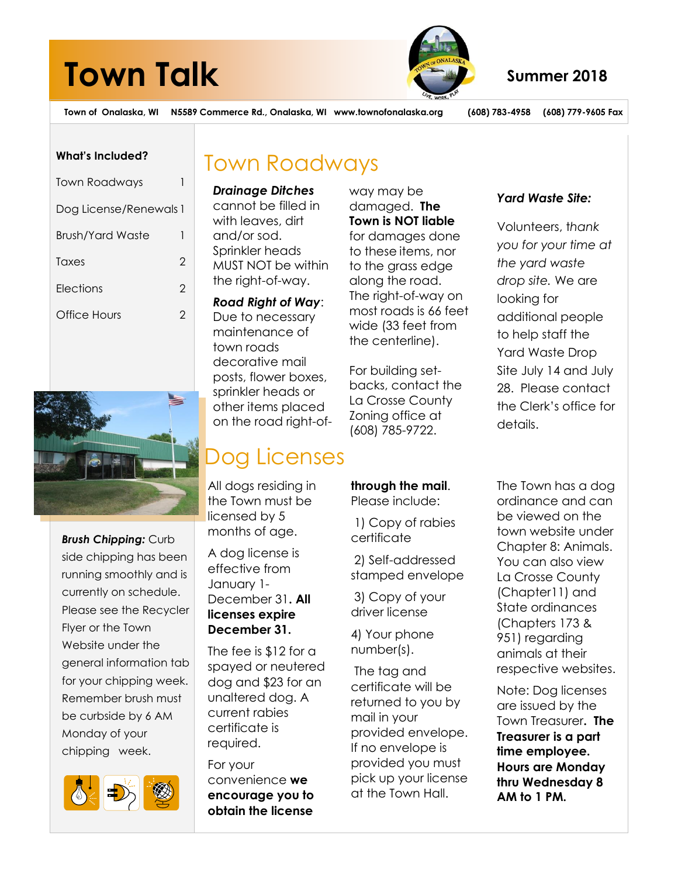# **Town Talk** Summer 2018



**Town of Onalaska, WI N5589 Commerce Rd., Onalaska, WI www.townofonalaska.org (608) 783-4958 (608) 779-9605 Fax**

#### **What's Included?**

| <b>Town Roadways</b>   |   |
|------------------------|---|
| Dog License/Renewals 1 |   |
| Brush/Yard Waste       | I |
| Taxes                  | 2 |
| Flections              | 2 |
| Office Hours           | 2 |
|                        |   |



*Brush Chipping:* Curb side chipping has been running smoothly and is currently on schedule. Please see the Recycler Flyer or the Town Website under the general information tab for your chipping week. Remember brush must be curbside by 6 AM Monday of your chipping week.



## Town Roadways

*Drainage Ditches* cannot be filled in with leaves, dirt and/or sod. Sprinkler heads MUST NOT be within the right-of-way.

### *Road Right of Way*:

Due to necessary maintenance of town roads decorative mail posts, flower boxes, sprinkler heads or other items placed on the road right-of-

## Dog Licenses

All dogs residing in the Town must be licensed by 5 months of age.

A dog license is effective from January 1- December 31**. All licenses expire December 31.** 

The fee is \$12 for a spayed or neutered dog and \$23 for an unaltered dog. A current rabies certificate is required.

For your convenience **we encourage you to obtain the license**

way may be damaged. **The Town is NOT liable** for damages done to these items, nor to the grass edge along the road. The right-of-way on most roads is 66 feet wide (33 feet from the centerline).

For building setbacks, contact the La Crosse County Zoning office at (608) 785-9722.

### Volunteers, t*hank*

*Yard Waste Site:* 

*you for your time at the yard waste drop site.* We are looking for additional people to help staff the Yard Waste Drop Site July 14 and July 28. Please contact the Clerk's office for details.

**through the mail**. Please include:

1) Copy of rabies certificate

2) Self-addressed stamped envelope

3) Copy of your driver license

4) Your phone number(s).

The tag and certificate will be returned to you by mail in your provided envelope. If no envelope is provided you must pick up your license at the Town Hall.

The Town has a dog ordinance and can be viewed on the town website under Chapter 8: Animals. You can also view La Crosse County (Chapter11) and State ordinances (Chapters 173 & 951) regarding animals at their respective websites.

Note: Dog licenses are issued by the Town Treasurer**. The Treasurer is a part time employee. Hours are Monday thru Wednesday 8 AM to 1 PM.**